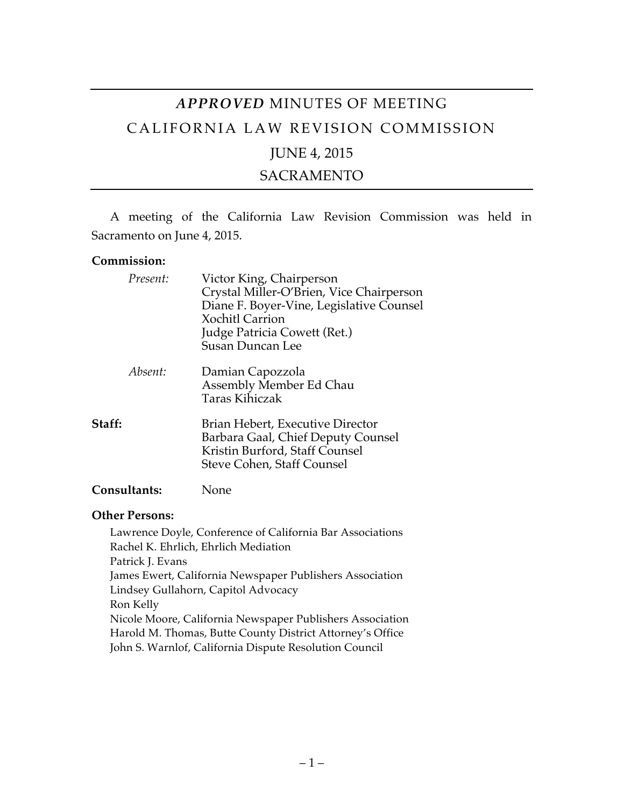# *APPROVED* MINUTES OF MEETING CALIFORNIA LAW REVISION COMMISSION

# JUNE 4, 2015

### SACRAMENTO

A meeting of the California Law Revision Commission was held in Sacramento on June 4, 2015.

#### **Commission:**

| Present:            | Victor King, Chairperson<br>Crystal Miller-O'Brien, Vice Chairperson<br>Diane F. Boyer-Vine, Legislative Counsel<br><b>Xochitl Carrion</b><br>Judge Patricia Cowett (Ret.)<br>Susan Duncan Lee |
|---------------------|------------------------------------------------------------------------------------------------------------------------------------------------------------------------------------------------|
| Absent:             | Damian Capozzola<br>Assembly Member Ed Chau<br>Taras Kihiczak                                                                                                                                  |
| Staff:              | Brian Hebert, Executive Director<br>Barbara Gaal, Chief Deputy Counsel<br>Kristin Burford, Staff Counsel<br>Steve Cohen, Staff Counsel                                                         |
| <b>Consultants:</b> | None                                                                                                                                                                                           |

# **Other Persons:**

Lawrence Doyle, Conference of California Bar Associations Rachel K. Ehrlich, Ehrlich Mediation Patrick J. Evans James Ewert, California Newspaper Publishers Association Lindsey Gullahorn, Capitol Advocacy Ron Kelly Nicole Moore, California Newspaper Publishers Association Harold M. Thomas, Butte County District Attorney's Office John S. Warnlof, California Dispute Resolution Council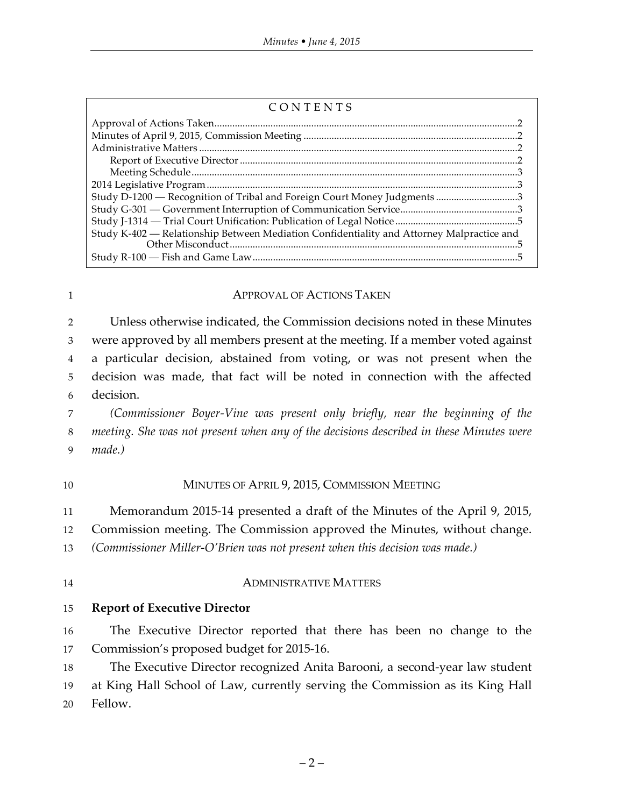| CONTENTS |  |  |  |
|----------|--|--|--|
|          |  |  |  |

| Study D-1200 — Recognition of Tribal and Foreign Court Money Judgments 3                  |  |
|-------------------------------------------------------------------------------------------|--|
|                                                                                           |  |
|                                                                                           |  |
| Study K-402 — Relationship Between Mediation Confidentiality and Attorney Malpractice and |  |
|                                                                                           |  |
|                                                                                           |  |

#### 1 **APPROVAL OF ACTIONS TAKEN**

 Unless otherwise indicated, the Commission decisions noted in these Minutes were approved by all members present at the meeting. If a member voted against a particular decision, abstained from voting, or was not present when the decision was made, that fact will be noted in connection with the affected decision.

7 *(Commissioner Boyer-Vine was present only briefly, near the beginning of the*  8 *meeting. She was not present when any of the decisions described in these Minutes were*  9 *made.)*

#### 10 MINUTES OF APRIL 9, 2015, COMMISSION MEETING

11 Memorandum 2015-14 presented a draft of the Minutes of the April 9, 2015,

12 Commission meeting. The Commission approved the Minutes, without change.

13 *(Commissioner Miller-O'Brien was not present when this decision was made.)*

#### 14 ADMINISTRATIVE MATTERS

15 **Report of Executive Director**

16 The Executive Director reported that there has been no change to the 17 Commission's proposed budget for 2015-16.

18 The Executive Director recognized Anita Barooni, a second-year law student 19 at King Hall School of Law, currently serving the Commission as its King Hall 20 Fellow.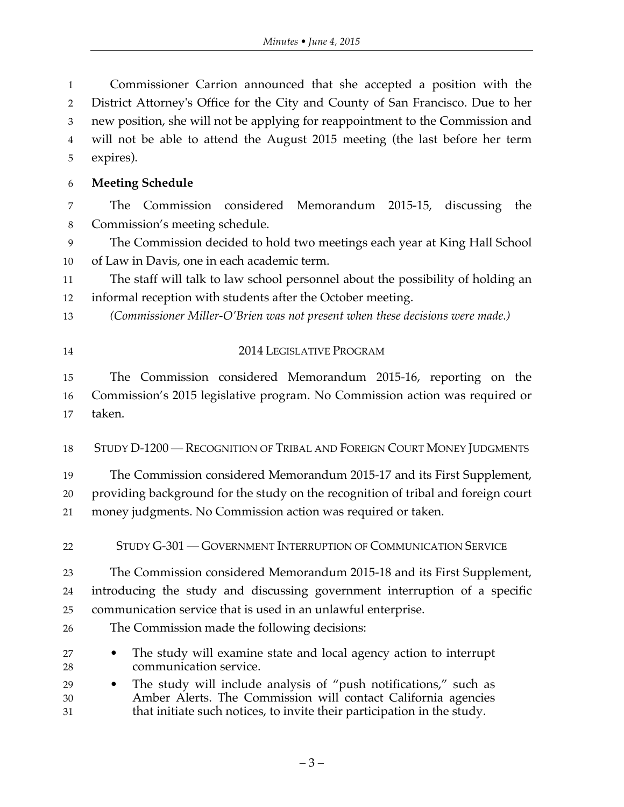Commissioner Carrion announced that she accepted a position with the District Attorney's Office for the City and County of San Francisco. Due to her new position, she will not be applying for reappointment to the Commission and will not be able to attend the August 2015 meeting (the last before her term expires).

## **Meeting Schedule**

 The Commission considered Memorandum 2015-15, discussing the Commission's meeting schedule.

 The Commission decided to hold two meetings each year at King Hall School of Law in Davis, one in each academic term.

 The staff will talk to law school personnel about the possibility of holding an informal reception with students after the October meeting.

- *(Commissioner Miller-O'Brien was not present when these decisions were made.)*
- 2014 LEGISLATIVE PROGRAM

 The Commission considered Memorandum 2015-16, reporting on the Commission's 2015 legislative program. No Commission action was required or taken.

STUDY D-1200 — RECOGNITION OF TRIBAL AND FOREIGN COURT MONEY JUDGMENTS

 The Commission considered Memorandum 2015-17 and its First Supplement, providing background for the study on the recognition of tribal and foreign court money judgments. No Commission action was required or taken.

STUDY G-301 — GOVERNMENT INTERRUPTION OF COMMUNICATION SERVICE

 The Commission considered Memorandum 2015-18 and its First Supplement, introducing the study and discussing government interruption of a specific communication service that is used in an unlawful enterprise.

- The Commission made the following decisions:
- The study will examine state and local agency action to interrupt communication service.
- The study will include analysis of "push notifications," such as Amber Alerts. The Commission will contact California agencies that initiate such notices, to invite their participation in the study.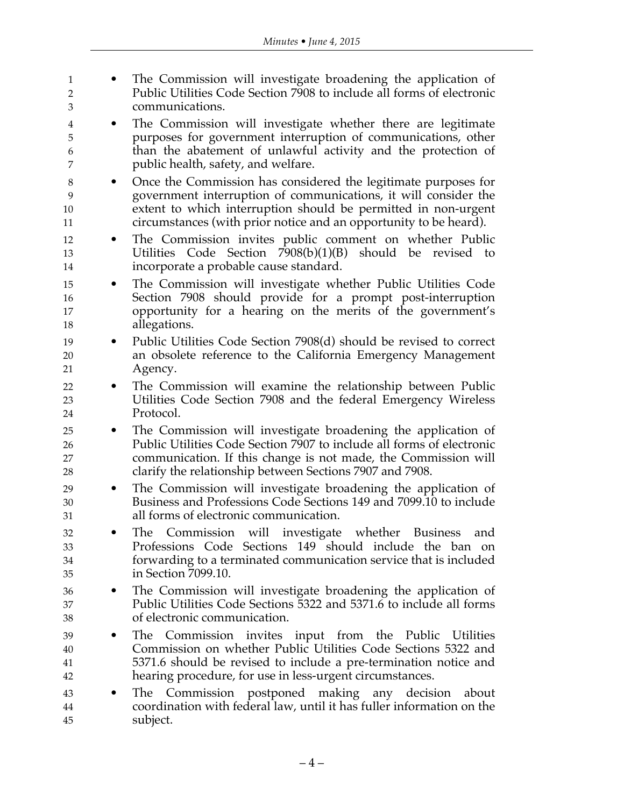| 1                           | The Commission will investigate broadening the application of                                                                                                                                                            |
|-----------------------------|--------------------------------------------------------------------------------------------------------------------------------------------------------------------------------------------------------------------------|
| $\overline{2}$              | Public Utilities Code Section 7908 to include all forms of electronic                                                                                                                                                    |
| 3                           | communications.                                                                                                                                                                                                          |
| 4                           | The Commission will investigate whether there are legitimate                                                                                                                                                             |
| 5                           | purposes for government interruption of communications, other                                                                                                                                                            |
| 6                           | than the abatement of unlawful activity and the protection of                                                                                                                                                            |
| 7                           | public health, safety, and welfare.                                                                                                                                                                                      |
| 8                           | Once the Commission has considered the legitimate purposes for                                                                                                                                                           |
| 9                           | government interruption of communications, it will consider the                                                                                                                                                          |
| 10                          | extent to which interruption should be permitted in non-urgent                                                                                                                                                           |
| 11                          | circumstances (with prior notice and an opportunity to be heard).                                                                                                                                                        |
| 12                          | The Commission invites public comment on whether Public                                                                                                                                                                  |
| $\bullet$                   | should be revised to                                                                                                                                                                                                     |
| 13                          | Utilities Code Section $7908(b)(1)(B)$                                                                                                                                                                                   |
| 14                          | incorporate a probable cause standard.                                                                                                                                                                                   |
| 15                          | The Commission will investigate whether Public Utilities Code                                                                                                                                                            |
| 16                          | Section 7908 should provide for a prompt post-interruption                                                                                                                                                               |
| 17                          | opportunity for a hearing on the merits of the government's                                                                                                                                                              |
| 18                          | allegations.                                                                                                                                                                                                             |
| 19<br>$\bullet$<br>20<br>21 | Public Utilities Code Section 7908(d) should be revised to correct<br>an obsolete reference to the California Emergency Management<br>Agency.                                                                            |
| 22                          | The Commission will examine the relationship between Public                                                                                                                                                              |
| 23                          | Utilities Code Section 7908 and the federal Emergency Wireless                                                                                                                                                           |
| 24                          | Protocol.                                                                                                                                                                                                                |
| 25                          | The Commission will investigate broadening the application of                                                                                                                                                            |
| 26                          | Public Utilities Code Section 7907 to include all forms of electronic                                                                                                                                                    |
| 27                          | communication. If this change is not made, the Commission will                                                                                                                                                           |
| 28                          | clarify the relationship between Sections 7907 and 7908.                                                                                                                                                                 |
| 29<br>$\bullet$<br>30<br>31 | The Commission will investigate broadening the application of<br>Business and Professions Code Sections 149 and 7099.10 to include<br>all forms of electronic communication.                                             |
| 32<br>33<br>34<br>35        | Commission will investigate whether Business<br><b>The</b><br>and<br>Professions Code Sections 149 should include the ban on<br>forwarding to a terminated communication service that is included<br>in Section 7099.10. |
| 36                          | The Commission will investigate broadening the application of                                                                                                                                                            |
| 37                          | Public Utilities Code Sections 5322 and 5371.6 to include all forms                                                                                                                                                      |
| 38                          | of electronic communication.                                                                                                                                                                                             |
| 39                          | Commission invites input from the Public Utilities                                                                                                                                                                       |
|                             | The                                                                                                                                                                                                                      |
| 40                          | Commission on whether Public Utilities Code Sections 5322 and                                                                                                                                                            |
| 41                          | 5371.6 should be revised to include a pre-termination notice and                                                                                                                                                         |
| 42                          | hearing procedure, for use in less-urgent circumstances.                                                                                                                                                                 |
| 43<br>44<br>45              | Commission postponed making any decision<br>The<br>about<br>coordination with federal law, until it has fuller information on the<br>subject.                                                                            |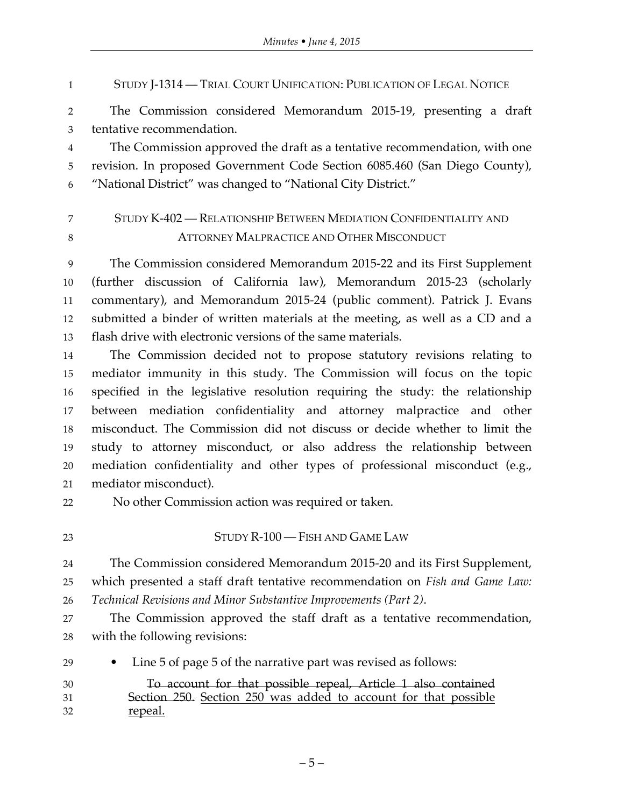STUDY J-1314 — TRIAL COURT UNIFICATION: PUBLICATION OF LEGAL NOTICE

 The Commission considered Memorandum 2015-19, presenting a draft tentative recommendation.

 The Commission approved the draft as a tentative recommendation, with one revision. In proposed Government Code Section 6085.460 (San Diego County), "National District" was changed to "National City District."

# STUDY K-402 — RELATIONSHIP BETWEEN MEDIATION CONFIDENTIALITY AND ATTORNEY MALPRACTICE AND OTHER MISCONDUCT

 The Commission considered Memorandum 2015-22 and its First Supplement (further discussion of California law), Memorandum 2015-23 (scholarly commentary), and Memorandum 2015-24 (public comment). Patrick J. Evans submitted a binder of written materials at the meeting, as well as a CD and a flash drive with electronic versions of the same materials.

 The Commission decided not to propose statutory revisions relating to mediator immunity in this study. The Commission will focus on the topic specified in the legislative resolution requiring the study: the relationship between mediation confidentiality and attorney malpractice and other misconduct. The Commission did not discuss or decide whether to limit the study to attorney misconduct, or also address the relationship between mediation confidentiality and other types of professional misconduct (e.g., mediator misconduct).

No other Commission action was required or taken.

## 23 STUDY R-100 — FISH AND GAME LAW

 The Commission considered Memorandum 2015-20 and its First Supplement, which presented a staff draft tentative recommendation on *Fish and Game Law: Technical Revisions and Minor Substantive Improvements (Part 2)*.

 The Commission approved the staff draft as a tentative recommendation, with the following revisions:

• Line 5 of page 5 of the narrative part was revised as follows:

| 30 | To account for that possible repeal, Article 1 also contained   |
|----|-----------------------------------------------------------------|
| 31 | Section 250. Section 250 was added to account for that possible |
| 32 | repeal.                                                         |